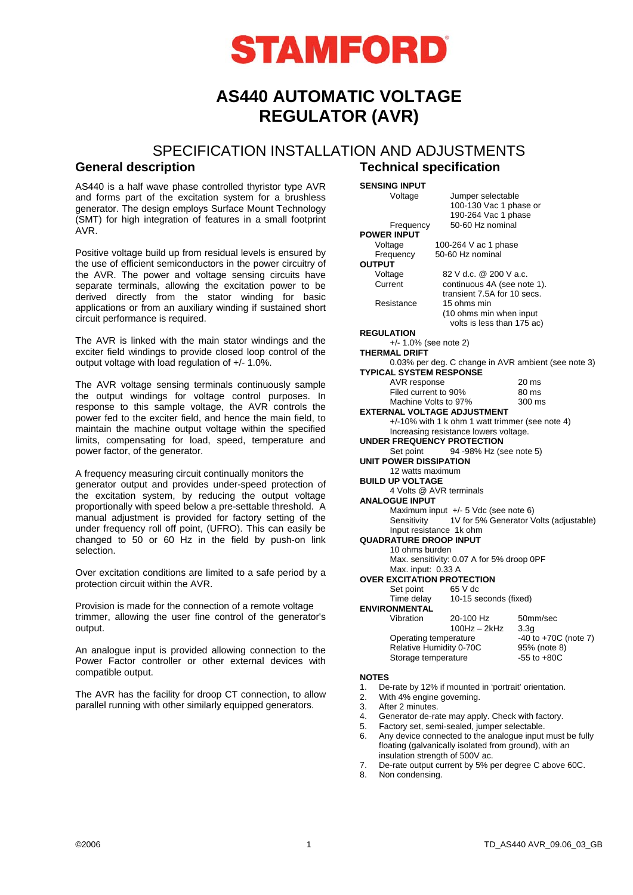

# **AS440 AUTOMATIC VOLTAGE REGULATOR (AVR)**

# SPECIFICATION INSTALLATION AND ADJUSTMENTS

AS440 is a half wave phase controlled thyristor type AVR and forms part of the excitation system for a brushless generator. The design employs Surface Mount Technology (SMT) for high integration of features in a small footprint AVR.

Positive voltage build up from residual levels is ensured by the use of efficient semiconductors in the power circuitry of the AVR. The power and voltage sensing circuits have separate terminals, allowing the excitation power to be derived directly from the stator winding for basic applications or from an auxiliary winding if sustained short circuit performance is required.

The AVR is linked with the main stator windings and the exciter field windings to provide closed loop control of the output voltage with load regulation of +/- 1.0%.

The AVR voltage sensing terminals continuously sample the output windings for voltage control purposes. In response to this sample voltage, the AVR controls the power fed to the exciter field, and hence the main field, to maintain the machine output voltage within the specified limits, compensating for load, speed, temperature and power factor, of the generator.

A frequency measuring circuit continually monitors the generator output and provides under-speed protection of the excitation system, by reducing the output voltage proportionally with speed below a pre-settable threshold. A manual adjustment is provided for factory setting of the under frequency roll off point, (UFRO). This can easily be changed to 50 or 60 Hz in the field by push-on link selection.

Over excitation conditions are limited to a safe period by a protection circuit within the AVR.

Provision is made for the connection of a remote voltage trimmer, allowing the user fine control of the generator's output.

An analogue input is provided allowing connection to the Power Factor controller or other external devices with compatible output.

The AVR has the facility for droop CT connection, to allow parallel running with other similarly equipped generators.

# **General description Technical specification**

**SENSING INPUT** 

 Voltage Jumper selectable 100-130 Vac 1 phase or 190-264 Vac 1 phase Frequency 50-60 Hz nominal

**POWER INPUT OUTPUT** 

Voltage 100-264 V ac 1 phase Frequency 50-60 Hz nominal

Voltage 82 V d.c. @ 200 V a.c.<br>Current continuous 4A (see no continuous 4A (see note 1). transient 7.5A for 10 secs. Resistance 15 ohms min (10 ohms min when input volts is less than 175 ac)

**REGULATION**  +/- 1.0% (see note 2) **THERMAL DRIFT**  0.03% per deg. C change in AVR ambient (see note 3) **TYPICAL SYSTEM RESPONSE**  AVR response 20 ms Filed current to 90% 80 ms Machine Volts to 97% 300 ms **EXTERNAL VOLTAGE ADJUSTMENT**  +/-10% with 1 k ohm 1 watt trimmer (see note 4) Increasing resistance lowers voltage. **UNDER FREQUENCY PROTECTION**  Set point 94 -98% Hz (see note 5) **UNIT POWER DISSIPATION**  12 watts maximum **BUILD UP VOLTAGE**  4 Volts @ AVR terminals **ANALOGUE INPUT**  Maximum input +/- 5 Vdc (see note 6)<br>Sensitivity 1V for 5% Generator V 1V for 5% Generator Volts (adjustable) Input resistance 1k ohm **QUADRATURE DROOP INPUT**  10 ohms burden Max. sensitivity: 0.07 A for 5% droop 0PF Max. input: 0.33 A **OVER EXCITATION PROTECTION**  Set point 65 V dc Time delay 10-15 seconds (fixed) **ENVIRONMENTAL**  Vibration 20-100 Hz 50mm/sec 100Hz – 2kHz 3.3g<br>erature – 40 to +70C (note 7) Operating temperature  $-40$  to +70C (<br>
Relative Humidity 0-70C 95% (note 8)

**NOTES** 

1. De-rate by 12% if mounted in 'portrait' orientation.

2. With 4% engine governing.

Relative Humidity 0-70C

- 3. After 2 minutes.
- 4. Generator de-rate may apply. Check with factory.
- 5. Factory set, semi-sealed, jumper selectable. Any device connected to the analogue input must be fully floating (galvanically isolated from ground), with an

Storage temperature -55 to +80C

- insulation strength of 500V ac. 7. De-rate output current by 5% per degree C above 60C.
- 8. Non condensing.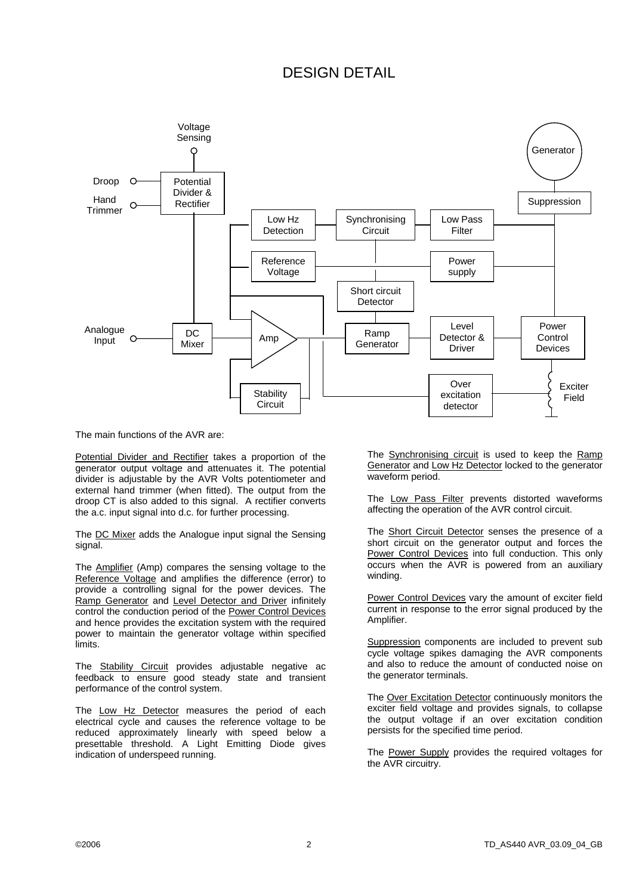# DESIGN DETAIL



The main functions of the AVR are:

Potential Divider and Rectifier takes a proportion of the generator output voltage and attenuates it. The potential divider is adjustable by the AVR Volts potentiometer and external hand trimmer (when fitted). The output from the droop CT is also added to this signal. A rectifier converts the a.c. input signal into d.c. for further processing.

The DC Mixer adds the Analogue input signal the Sensing signal.

The Amplifier (Amp) compares the sensing voltage to the Reference Voltage and amplifies the difference (error) to provide a controlling signal for the power devices. The Ramp Generator and Level Detector and Driver infinitely control the conduction period of the Power Control Devices and hence provides the excitation system with the required power to maintain the generator voltage within specified limits.

The **Stability Circuit** provides adjustable negative ac feedback to ensure good steady state and transient performance of the control system.

The Low Hz Detector measures the period of each electrical cycle and causes the reference voltage to be reduced approximately linearly with speed below a presettable threshold. A Light Emitting Diode gives indication of underspeed running.

The Synchronising circuit is used to keep the Ramp Generator and Low Hz Detector locked to the generator waveform period.

The Low Pass Filter prevents distorted waveforms affecting the operation of the AVR control circuit.

The Short Circuit Detector senses the presence of a short circuit on the generator output and forces the Power Control Devices into full conduction. This only occurs when the AVR is powered from an auxiliary winding.

Power Control Devices vary the amount of exciter field current in response to the error signal produced by the Amplifier.

Suppression components are included to prevent sub cycle voltage spikes damaging the AVR components and also to reduce the amount of conducted noise on the generator terminals.

The Over Excitation Detector continuously monitors the exciter field voltage and provides signals, to collapse the output voltage if an over excitation condition persists for the specified time period.

The Power Supply provides the required voltages for the AVR circuitry.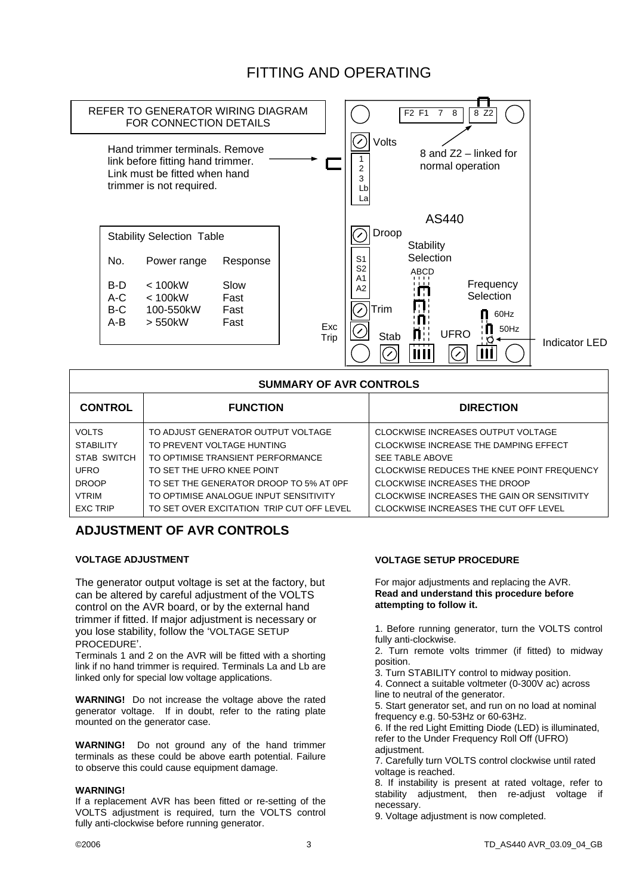

# FITTING AND OPERATING

| <b>SUMMARY OF AVR CONTROLS</b> |                                           |                                              |
|--------------------------------|-------------------------------------------|----------------------------------------------|
| <b>CONTROL</b>                 | <b>FUNCTION</b>                           | <b>DIRECTION</b>                             |
| <b>VOLTS</b>                   | TO ADJUST GENERATOR OUTPUT VOLTAGE        | CLOCKWISE INCREASES OUTPUT VOLTAGE           |
| <b>STABILITY</b>               | TO PREVENT VOLTAGE HUNTING                | <b>CLOCKWISE INCREASE THE DAMPING EFFECT</b> |
| <b>STAB SWITCH</b>             | TO OPTIMISE TRANSIENT PERFORMANCE         | <b>SEE TABLE ABOVE</b>                       |
| <b>UFRO</b>                    | TO SET THE UFRO KNEE POINT                | CLOCKWISE REDUCES THE KNEE POINT FREQUENCY   |
| <b>DROOP</b>                   | TO SET THE GENERATOR DROOP TO 5% AT OPF   | CLOCKWISE INCREASES THE DROOP                |
| <b>VTRIM</b>                   | TO OPTIMISE ANALOGUE INPUT SENSITIVITY    | CLOCKWISE INCREASES THE GAIN OR SENSITIVITY  |
| <b>EXC TRIP</b>                | TO SET OVER EXCITATION TRIP CUT OFF LEVEL | CLOCKWISE INCREASES THE CUT OFF LEVEL        |

# **ADJUSTMENT OF AVR CONTROLS**

## **VOLTAGE ADJUSTMENT**

The generator output voltage is set at the factory, but can be altered by careful adjustment of the VOLTS control on the AVR board, or by the external hand trimmer if fitted. If major adjustment is necessary or you lose stability, follow the 'VOLTAGE SETUP PROCEDURE'.

Terminals 1 and 2 on the AVR will be fitted with a shorting link if no hand trimmer is required. Terminals La and Lb are linked only for special low voltage applications.

**WARNING!** Do not increase the voltage above the rated generator voltage. If in doubt, refer to the rating plate mounted on the generator case.

**WARNING!** Do not ground any of the hand trimmer terminals as these could be above earth potential. Failure to observe this could cause equipment damage.

## **WARNING!**

If a replacement AVR has been fitted or re-setting of the VOLTS adjustment is required, turn the VOLTS control fully anti-clockwise before running generator.

## **VOLTAGE SETUP PROCEDURE**

For major adjustments and replacing the AVR. **Read and understand this procedure before attempting to follow it.** 

1. Before running generator, turn the VOLTS control fully anti-clockwise.

2. Turn remote volts trimmer (if fitted) to midway position.

3. Turn STABILITY control to midway position. 4. Connect a suitable voltmeter (0-300V ac) across

line to neutral of the generator.

5. Start generator set, and run on no load at nominal frequency e.g. 50-53Hz or 60-63Hz.

6. If the red Light Emitting Diode (LED) is illuminated, refer to the Under Frequency Roll Off (UFRO) adiustment.

7. Carefully turn VOLTS control clockwise until rated voltage is reached.

8. If instability is present at rated voltage, refer to stability adjustment, then re-adjust voltage if necessary.

9. Voltage adjustment is now completed.